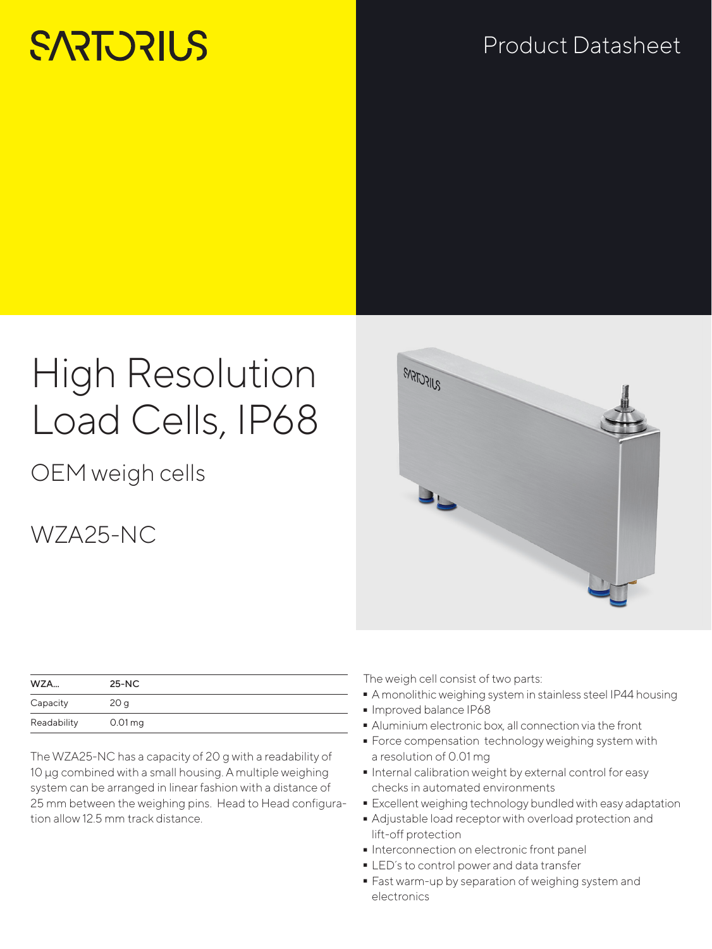# **SARTORILS**

### Product Datasheet

## High Resolution Load Cells, IP68

OEM weigh cells

### WZA25-NC

| WZA         | $25-NC$         |
|-------------|-----------------|
| Capacity    | 20 <sub>q</sub> |
| Readability | $0.01$ mg       |

The WZA25-NC has a capacity of 20 g with a readability of 10 µg combined with a small housing. A multiple weighing system can be arranged in linear fashion with a distance of 25 mm between the weighing pins. Head to Head configuration allow 12.5 mm track distance.

SUFCTSPR

The weigh cell consist of two parts:

- A monolithic weighing system in stainless steel IP44 housing<br>Inproved balance IP68
- 
- Aluminium electronic box, all connection via the front
- Aluminium electronic box, all connection via the front - Force compensation technology weighing system with a resolution of 0.01 mg
- Internal calibration weight by external control for easy checks in automated environments
- **Excellent weighing technology bundled with easy adaptation**
- Adjustable load receptor with overload protection and<br>lift-off protection<br>• Interconnection on electronic front panel lift-off protection
- 
- LED's to control power and data transfer
- LED´s to control power and data transfer<br>■ Fast warm-up by separation of weighing - Fast warm-up by separation of weighing system and electronics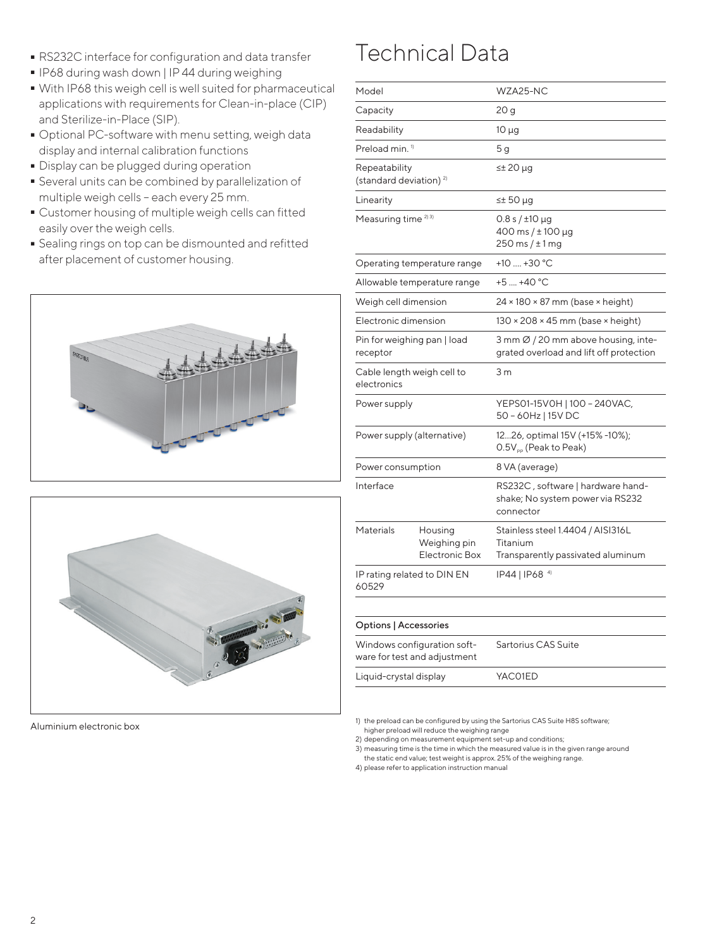- **-** RS232C interface for configuration and data transfer<br>• IP68 during wash down | IP44 during weighing
- 
- With IP68 this weigh cell is well suited for pharmaceutical - With IP68 this weigh cell is well suited for pharmaceutical applications with requirements for Clean-in-place (CIP) and Sterilize-in-Place (SIP).
- Optional PC-software with menu setting, weigh data<br>display and internal calibration functions<br>- Display can be plugged during operation display and internal calibration functions
- 
- Display can be plugged during operation - Several units can be combined by parallelization of multiple weigh cells – each every 25 mm.
- Customer housing of multiple weigh cells can fitted easily over the weigh cells.
- Sealing rings on top can be dismounted and refitted after placement of customer housing.





Aluminium electronic box

### Technical Data

| Model                                                       |                                           | WZA25-NC                                                                           |
|-------------------------------------------------------------|-------------------------------------------|------------------------------------------------------------------------------------|
| Capacity                                                    |                                           | 20 g                                                                               |
| Readability                                                 |                                           | $10 \mu g$                                                                         |
| Preload min. <sup>1)</sup>                                  |                                           | 5 <sub>q</sub>                                                                     |
| Repeatability<br>(standard deviation) <sup>2)</sup>         |                                           | ≤± 20 µg                                                                           |
| Linearity                                                   |                                           | $\leq$ 50 µg                                                                       |
| Measuring time <sup>2)3)</sup>                              |                                           | $0.8 s / \pm 10 \mu$ g<br>400 ms / $\pm$ 100 µg<br>$250$ ms $/\pm 1$ mg            |
| Operating temperature range                                 |                                           | +10 $\dots$ +30 °C                                                                 |
| Allowable temperature range                                 |                                           | $+5$ $+40$ °C                                                                      |
| Weigh cell dimension                                        |                                           | $24 \times 180 \times 87$ mm (base $\times$ height)                                |
| Electronic dimension                                        |                                           | $130 \times 208 \times 45$ mm (base $\times$ height)                               |
| Pin for weighing pan   load<br>receptor                     |                                           | 3 mm Ø / 20 mm above housing, inte-<br>grated overload and lift off protection     |
| Cable length weigh cell to<br>electronics                   |                                           | 3 <sub>m</sub>                                                                     |
| Power supply                                                |                                           | YEPS01-15V0H   100 - 240VAC,<br>50 - 60Hz   15V DC                                 |
| Power supply (alternative)                                  |                                           | 1226, optimal 15V (+15% -10%);<br>O.5V <sub>pp</sub> (Peak to Peak)                |
| Power consumption                                           |                                           | 8 VA (average)                                                                     |
| Interface                                                   |                                           | RS232C, software   hardware hand-<br>shake; No system power via RS232<br>connector |
| Materials                                                   | Housing<br>Weighing pin<br>Electronic Box | Stainless steel 1.4404 / AISI316L<br>Titanium<br>Transparently passivated aluminum |
| IP rating related to DIN EN<br>60529                        |                                           | IP44   IP68 <sup>4)</sup>                                                          |
|                                                             |                                           |                                                                                    |
| Options   Accessories                                       |                                           |                                                                                    |
| Windows configuration soft-<br>ware for test and adjustment |                                           | Sartorius CAS Suite                                                                |
| Liquid-crystal display                                      |                                           | YAC01ED                                                                            |

1) the preload can be configured by using the Sartorius CAS Suite H8S software; higher preload will reduce the weighing range

2) depending on measurement equipment set-up and conditions;

3) measuring time is the time in which the measured value is in the given range around the static end value; test weight is approx. 25% of the weighing range.

4) please refer to application instruction manual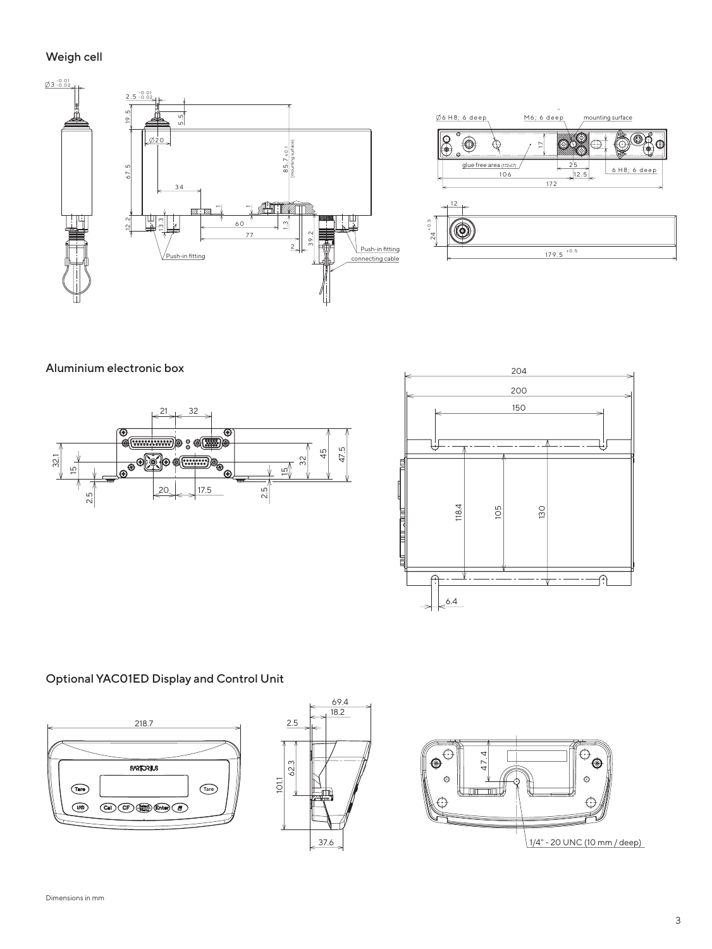### Weigh cell





Aluminium electronic box





#### Optional YAC01ED Display and Control Unit